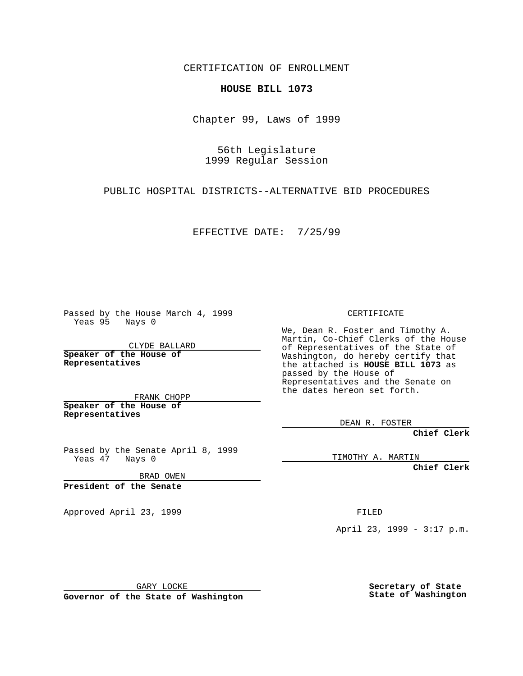CERTIFICATION OF ENROLLMENT

## **HOUSE BILL 1073**

Chapter 99, Laws of 1999

56th Legislature 1999 Regular Session

PUBLIC HOSPITAL DISTRICTS--ALTERNATIVE BID PROCEDURES

EFFECTIVE DATE: 7/25/99

Passed by the House March 4, 1999 Yeas 95 Nays 0

CLYDE BALLARD **Speaker of the House of Representatives**

FRANK CHOPP **Speaker of the House of Representatives**

Passed by the Senate April 8, 1999 Yeas 47 Nays 0

BRAD OWEN

**President of the Senate**

Approved April 23, 1999 FILED

CERTIFICATE

We, Dean R. Foster and Timothy A. Martin, Co-Chief Clerks of the House of Representatives of the State of Washington, do hereby certify that the attached is **HOUSE BILL 1073** as passed by the House of Representatives and the Senate on the dates hereon set forth.

DEAN R. FOSTER

**Chief Clerk**

TIMOTHY A. MARTIN

**Chief Clerk**

April 23, 1999 - 3:17 p.m.

GARY LOCKE

**Governor of the State of Washington**

**Secretary of State State of Washington**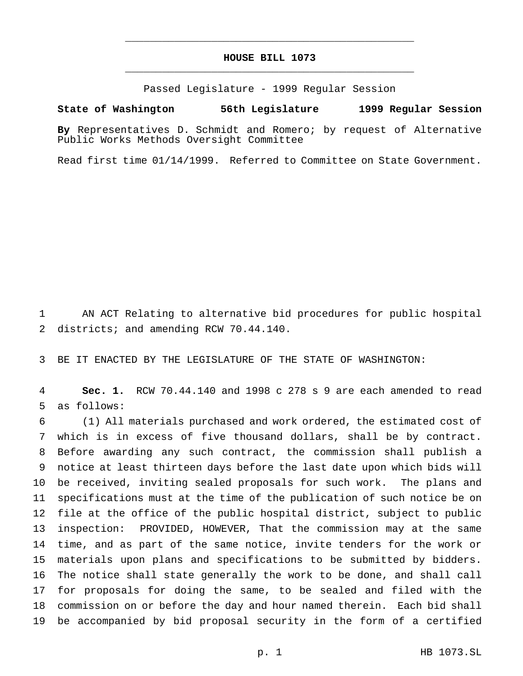## **HOUSE BILL 1073** \_\_\_\_\_\_\_\_\_\_\_\_\_\_\_\_\_\_\_\_\_\_\_\_\_\_\_\_\_\_\_\_\_\_\_\_\_\_\_\_\_\_\_\_\_\_\_

\_\_\_\_\_\_\_\_\_\_\_\_\_\_\_\_\_\_\_\_\_\_\_\_\_\_\_\_\_\_\_\_\_\_\_\_\_\_\_\_\_\_\_\_\_\_\_

Passed Legislature - 1999 Regular Session

## **State of Washington 56th Legislature 1999 Regular Session**

**By** Representatives D. Schmidt and Romero; by request of Alternative Public Works Methods Oversight Committee

Read first time 01/14/1999. Referred to Committee on State Government.

 AN ACT Relating to alternative bid procedures for public hospital districts; and amending RCW 70.44.140.

BE IT ENACTED BY THE LEGISLATURE OF THE STATE OF WASHINGTON:

 **Sec. 1.** RCW 70.44.140 and 1998 c 278 s 9 are each amended to read as follows:

 (1) All materials purchased and work ordered, the estimated cost of which is in excess of five thousand dollars, shall be by contract. Before awarding any such contract, the commission shall publish a notice at least thirteen days before the last date upon which bids will be received, inviting sealed proposals for such work. The plans and specifications must at the time of the publication of such notice be on file at the office of the public hospital district, subject to public inspection: PROVIDED, HOWEVER, That the commission may at the same time, and as part of the same notice, invite tenders for the work or materials upon plans and specifications to be submitted by bidders. The notice shall state generally the work to be done, and shall call for proposals for doing the same, to be sealed and filed with the commission on or before the day and hour named therein. Each bid shall be accompanied by bid proposal security in the form of a certified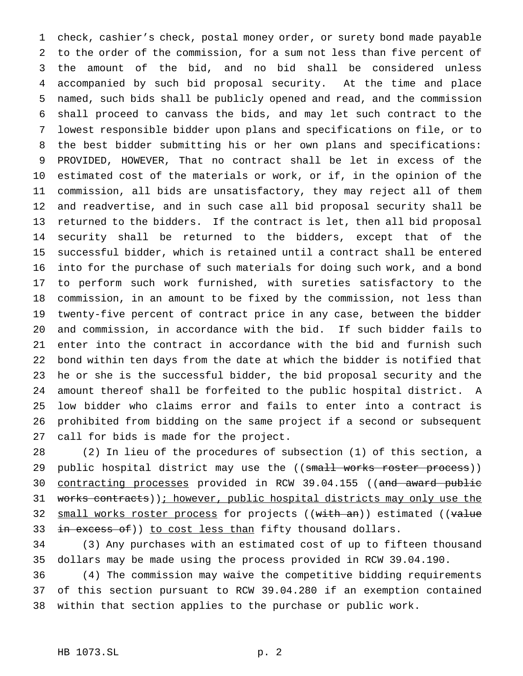check, cashier's check, postal money order, or surety bond made payable to the order of the commission, for a sum not less than five percent of the amount of the bid, and no bid shall be considered unless accompanied by such bid proposal security. At the time and place named, such bids shall be publicly opened and read, and the commission shall proceed to canvass the bids, and may let such contract to the lowest responsible bidder upon plans and specifications on file, or to the best bidder submitting his or her own plans and specifications: PROVIDED, HOWEVER, That no contract shall be let in excess of the estimated cost of the materials or work, or if, in the opinion of the commission, all bids are unsatisfactory, they may reject all of them and readvertise, and in such case all bid proposal security shall be returned to the bidders. If the contract is let, then all bid proposal security shall be returned to the bidders, except that of the successful bidder, which is retained until a contract shall be entered into for the purchase of such materials for doing such work, and a bond to perform such work furnished, with sureties satisfactory to the commission, in an amount to be fixed by the commission, not less than twenty-five percent of contract price in any case, between the bidder and commission, in accordance with the bid. If such bidder fails to enter into the contract in accordance with the bid and furnish such bond within ten days from the date at which the bidder is notified that he or she is the successful bidder, the bid proposal security and the amount thereof shall be forfeited to the public hospital district. A low bidder who claims error and fails to enter into a contract is prohibited from bidding on the same project if a second or subsequent call for bids is made for the project.

 (2) In lieu of the procedures of subsection (1) of this section, a 29 public hospital district may use the ((small works roster process)) 30 contracting processes provided in RCW 39.04.155 ((and award public 31 works contracts)); however, public hospital districts may only use the 32 small works roster process for projects ((with an)) estimated ((value 33 in excess of)) to cost less than fifty thousand dollars.

 (3) Any purchases with an estimated cost of up to fifteen thousand dollars may be made using the process provided in RCW 39.04.190.

 (4) The commission may waive the competitive bidding requirements of this section pursuant to RCW 39.04.280 if an exemption contained within that section applies to the purchase or public work.